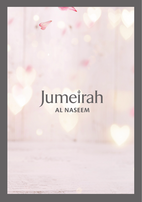# Jumeirah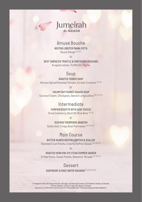# Jumeirah **AL NASEEM**

# *Amuse Bouche*

*BOSTON LOBSTER PANNA COTTA*

*Sauce Vierge (D) (GF)*

*Or*

*BEEF CARPACCIO TRUFFLE & PARTIGIANO REGGIANO Arugula Leaves, Truffle Oil, Thyme*

#### *Soup*

*ROASTED TOMATO SOUP*

*Harissa Spiced Roasted Tomato, Za'atar Croutons (D) (G)*

*Or*

*CREAMY BUTTERNUT SQUASH SOUP Coconut Cream, Chickpeas, Seared Langoustine (SF) (D) (G)*

# *Intermediate*

*PUMPKIN RISOTTO WITH GOAT CHEESE Dried Cranberry, Basil Oil, Pine Nuts (D) (G)*

*Or*

*SEAFOOD THERMIDOR ARANCINI Garlic Aioli, Crispy Basil Parmesan (SF) (D) (G)*

# *Main Course*

*BUTTER SEARED BOSTON LOBSTER & SCALLOP Roasted Crust Potato, Creamy Saffron Sauce (SF) (D) (G)*

*Or*

*ROASTED HERB RIB-EYE STEAK SUMMER GARDEN Grilled Onion, Sweet Potato, Balsamic Teriyaki (S) (D) (G)*

# *Dessert*

*RASPBERRY & ROSE WATER MACARON [S] [D] [E] [N]*

*(V) Vegetarian Dish, (GF) Gluten Free Dish, (VG) Vegan, (R) Raw Food; Contains: (SF) Shellfish, (N) Nuts, (A) Alcohol, (P) Pork, (D) Dairy, (S) Soy, (E) Egg, (SE) Sesame, (G) Gluten All prices are in UAE Dirhams and inclusive of %7 Municipality fees, %10 service charge and Value Added Tax.*